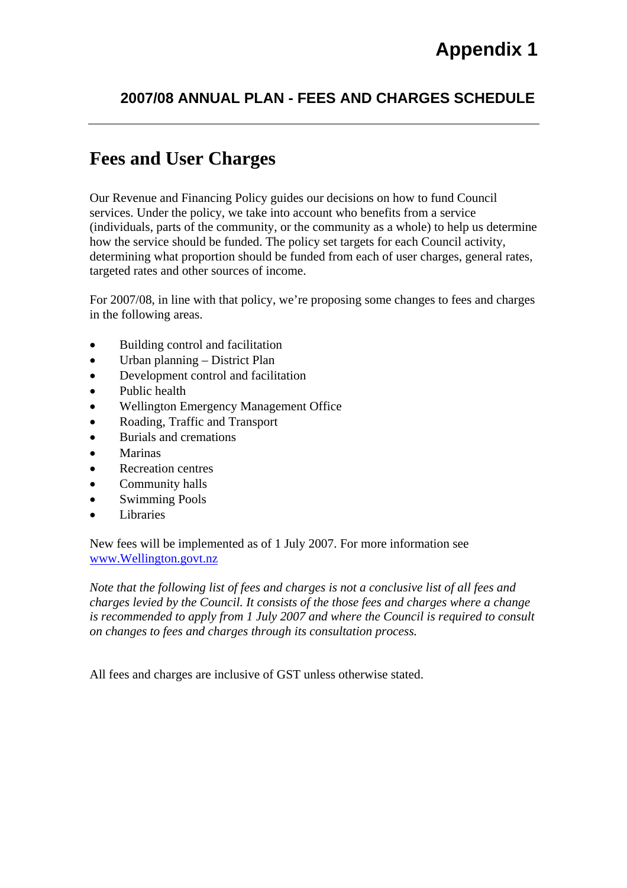### **2007/08 ANNUAL PLAN - FEES AND CHARGES SCHEDULE**

## **Fees and User Charges**

Our Revenue and Financing Policy guides our decisions on how to fund Council services. Under the policy, we take into account who benefits from a service (individuals, parts of the community, or the community as a whole) to help us determine how the service should be funded. The policy set targets for each Council activity, determining what proportion should be funded from each of user charges, general rates, targeted rates and other sources of income.

For 2007/08, in line with that policy, we're proposing some changes to fees and charges in the following areas.

- Building control and facilitation
- Urban planning District Plan
- Development control and facilitation
- Public health
- Wellington Emergency Management Office
- Roading, Traffic and Transport
- Burials and cremations
- Marinas
- Recreation centres
- Community halls
- Swimming Pools
- **Libraries**

New fees will be implemented as of 1 July 2007. For more information see www.Wellington.govt.nz

*Note that the following list of fees and charges is not a conclusive list of all fees and charges levied by the Council. It consists of the those fees and charges where a change is recommended to apply from 1 July 2007 and where the Council is required to consult on changes to fees and charges through its consultation process.* 

All fees and charges are inclusive of GST unless otherwise stated.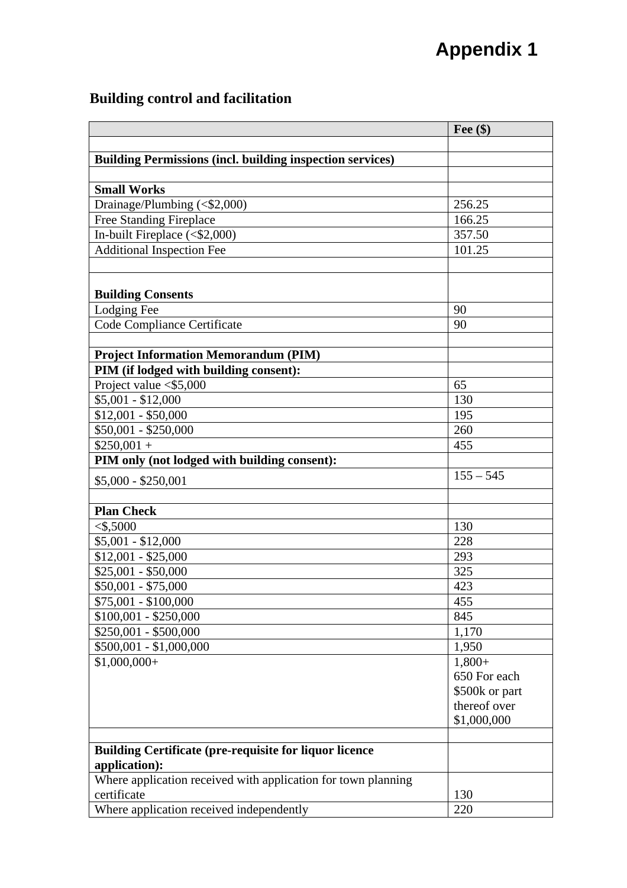### **Building control and facilitation**

|                                                                  | Fee $(\$)$     |
|------------------------------------------------------------------|----------------|
|                                                                  |                |
| <b>Building Permissions (incl. building inspection services)</b> |                |
|                                                                  |                |
| <b>Small Works</b>                                               |                |
| Drainage/Plumbing (<\$2,000)                                     | 256.25         |
| <b>Free Standing Fireplace</b>                                   | 166.25         |
| In-built Fireplace $($2,000)$                                    | 357.50         |
| <b>Additional Inspection Fee</b>                                 | 101.25         |
|                                                                  |                |
|                                                                  |                |
| <b>Building Consents</b>                                         |                |
| Lodging Fee                                                      | 90             |
| Code Compliance Certificate                                      | 90             |
|                                                                  |                |
| <b>Project Information Memorandum (PIM)</b>                      |                |
| PIM (if lodged with building consent):                           |                |
| Project value $<$ \$5,000                                        | 65             |
| $$5,001 - $12,000$                                               | 130            |
| $$12,001 - $50,000$                                              | 195            |
| $$50,001 - $250,000$                                             | 260            |
| $$250,001 +$                                                     | 455            |
| PIM only (not lodged with building consent):                     |                |
| $$5,000 - $250,001$                                              | $155 - 545$    |
|                                                                  |                |
| <b>Plan Check</b>                                                |                |
| $<$ \$,5000                                                      | 130            |
| $$5,001 - $12,000$                                               | 228            |
| $$12,001 - $25,000$                                              | 293            |
| $$25,001 - $50,000$                                              | 325            |
| $$50,001 - $75,000$                                              | 423            |
| \$75,001 - \$100,000                                             | 455            |
| $$100,001 - $250,000$                                            | 845            |
| $$250,001 - $500,000$                                            | 1,170          |
| $$500,001 - $1,000,000$                                          | 1,950          |
| $$1,000,000+$                                                    | $1,800+$       |
|                                                                  | 650 For each   |
|                                                                  | \$500k or part |
|                                                                  | thereof over   |
|                                                                  | \$1,000,000    |
|                                                                  |                |
| <b>Building Certificate (pre-requisite for liquor licence</b>    |                |
| application):                                                    |                |
| Where application received with application for town planning    |                |
| certificate                                                      | 130            |
| Where application received independently                         | 220            |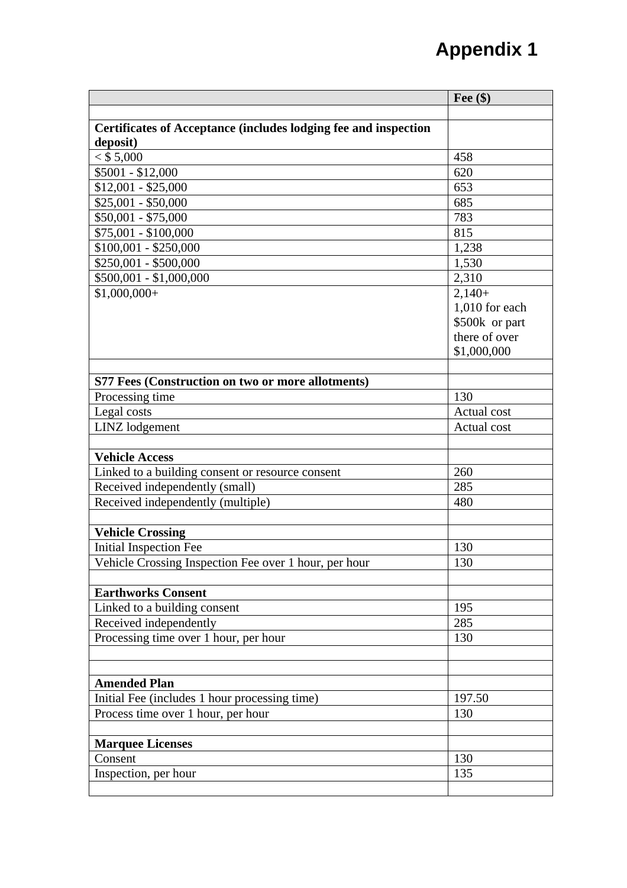|                                                                 | Fee $(\$)$     |
|-----------------------------------------------------------------|----------------|
|                                                                 |                |
| Certificates of Acceptance (includes lodging fee and inspection |                |
| deposit)                                                        |                |
| $<$ \$ 5,000                                                    | 458            |
| \$5001 - \$12,000                                               | 620            |
| $$12,001 - $25,000$                                             | 653            |
| $$25,001 - $50,000$                                             | 685            |
| $$50,001 - $75,000$                                             | 783            |
| \$75,001 - \$100,000                                            | 815            |
| $$100,001 - $250,000$                                           | 1,238          |
| $$250,001 - $500,000$                                           | 1,530          |
| $$500,001 - $1,000,000$                                         | 2,310          |
| $$1,000,000+$                                                   | $2,140+$       |
|                                                                 | 1,010 for each |
|                                                                 | \$500k or part |
|                                                                 | there of over  |
|                                                                 | \$1,000,000    |
|                                                                 |                |
| S77 Fees (Construction on two or more allotments)               |                |
| Processing time                                                 | 130            |
| Legal costs                                                     | Actual cost    |
| LINZ lodgement                                                  | Actual cost    |
|                                                                 |                |
| <b>Vehicle Access</b>                                           |                |
| Linked to a building consent or resource consent                | 260            |
| Received independently (small)                                  | 285            |
| Received independently (multiple)                               | 480            |
|                                                                 |                |
| <b>Vehicle Crossing</b>                                         |                |
| Initial Inspection Fee                                          | 130            |
| Vehicle Crossing Inspection Fee over 1 hour, per hour           | 130            |
|                                                                 |                |
| <b>Earthworks Consent</b>                                       |                |
| Linked to a building consent                                    | 195            |
| Received independently                                          | 285            |
| Processing time over 1 hour, per hour                           | 130            |
|                                                                 |                |
|                                                                 |                |
| <b>Amended Plan</b>                                             |                |
| Initial Fee (includes 1 hour processing time)                   | 197.50         |
| Process time over 1 hour, per hour                              | 130            |
|                                                                 |                |
| <b>Marquee Licenses</b>                                         |                |
| Consent                                                         | 130            |
| Inspection, per hour                                            | 135            |
|                                                                 |                |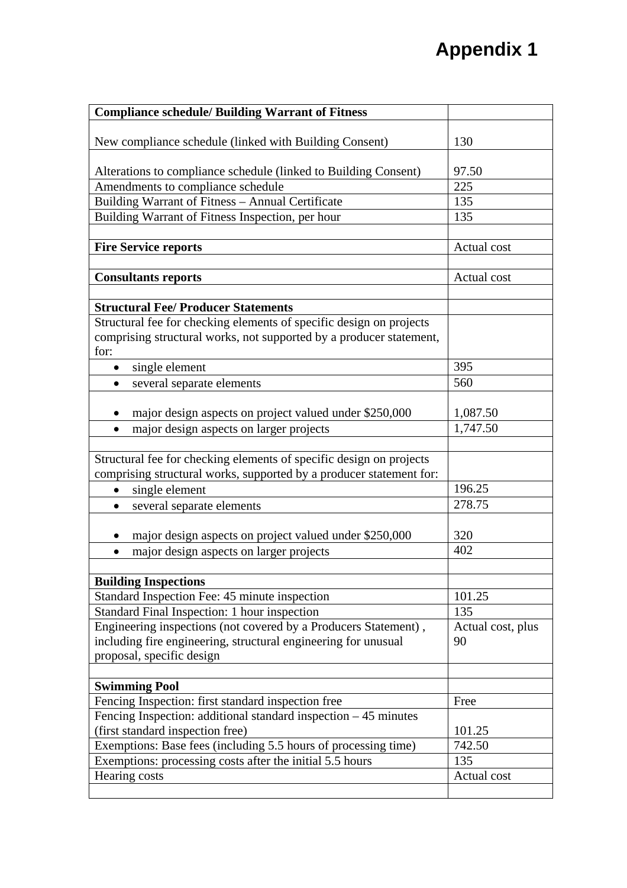| <b>Compliance schedule/ Building Warrant of Fitness</b>                                                                                    |                   |
|--------------------------------------------------------------------------------------------------------------------------------------------|-------------------|
| New compliance schedule (linked with Building Consent)                                                                                     | 130               |
| Alterations to compliance schedule (linked to Building Consent)                                                                            | 97.50             |
| Amendments to compliance schedule                                                                                                          | 225               |
| Building Warrant of Fitness - Annual Certificate                                                                                           | 135               |
| Building Warrant of Fitness Inspection, per hour                                                                                           | 135               |
|                                                                                                                                            |                   |
| <b>Fire Service reports</b>                                                                                                                | Actual cost       |
|                                                                                                                                            |                   |
| <b>Consultants reports</b>                                                                                                                 | Actual cost       |
|                                                                                                                                            |                   |
| <b>Structural Fee/ Producer Statements</b>                                                                                                 |                   |
| Structural fee for checking elements of specific design on projects                                                                        |                   |
| comprising structural works, not supported by a producer statement,                                                                        |                   |
| for:                                                                                                                                       |                   |
| single element<br>$\bullet$                                                                                                                | 395               |
| several separate elements                                                                                                                  | 560               |
|                                                                                                                                            |                   |
| major design aspects on project valued under \$250,000                                                                                     | 1,087.50          |
| major design aspects on larger projects<br>$\bullet$                                                                                       | 1,747.50          |
|                                                                                                                                            |                   |
| Structural fee for checking elements of specific design on projects<br>comprising structural works, supported by a producer statement for: |                   |
| single element<br>$\bullet$                                                                                                                | 196.25            |
| several separate elements<br>$\bullet$                                                                                                     | 278.75            |
|                                                                                                                                            |                   |
| major design aspects on project valued under \$250,000                                                                                     | 320               |
| major design aspects on larger projects<br>$\bullet$                                                                                       | 402               |
|                                                                                                                                            |                   |
| <b>Building Inspections</b>                                                                                                                |                   |
| Standard Inspection Fee: 45 minute inspection                                                                                              | 101.25            |
| Standard Final Inspection: 1 hour inspection                                                                                               | 135               |
| Engineering inspections (not covered by a Producers Statement),                                                                            | Actual cost, plus |
| including fire engineering, structural engineering for unusual                                                                             | 90                |
| proposal, specific design                                                                                                                  |                   |
|                                                                                                                                            |                   |
| <b>Swimming Pool</b>                                                                                                                       |                   |
| Fencing Inspection: first standard inspection free                                                                                         | Free              |
| Fencing Inspection: additional standard inspection $-45$ minutes                                                                           |                   |
| (first standard inspection free)                                                                                                           | 101.25            |
| Exemptions: Base fees (including 5.5 hours of processing time)                                                                             | 742.50            |
| Exemptions: processing costs after the initial 5.5 hours                                                                                   | 135               |
| Hearing costs                                                                                                                              | Actual cost       |
|                                                                                                                                            |                   |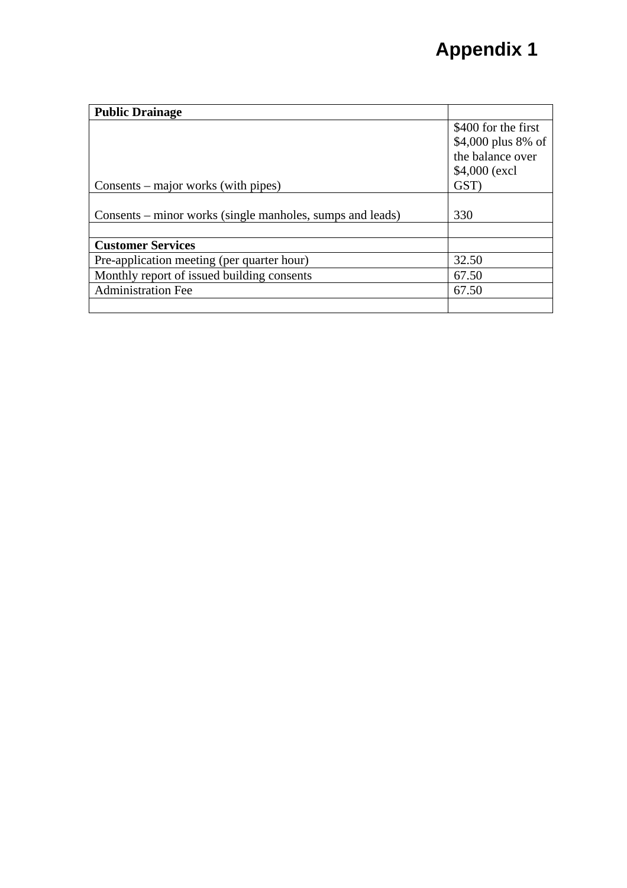| <b>Public Drainage</b>                                    |                     |
|-----------------------------------------------------------|---------------------|
|                                                           | \$400 for the first |
|                                                           | \$4,000 plus 8% of  |
|                                                           | the balance over    |
|                                                           | \$4,000 (excl)      |
| Consents – major works (with pipes)                       | GST)                |
|                                                           |                     |
| Consents – minor works (single manholes, sumps and leads) | 330                 |
|                                                           |                     |
| <b>Customer Services</b>                                  |                     |
| Pre-application meeting (per quarter hour)                | 32.50               |
| Monthly report of issued building consents                | 67.50               |
| <b>Administration Fee</b>                                 | 67.50               |
|                                                           |                     |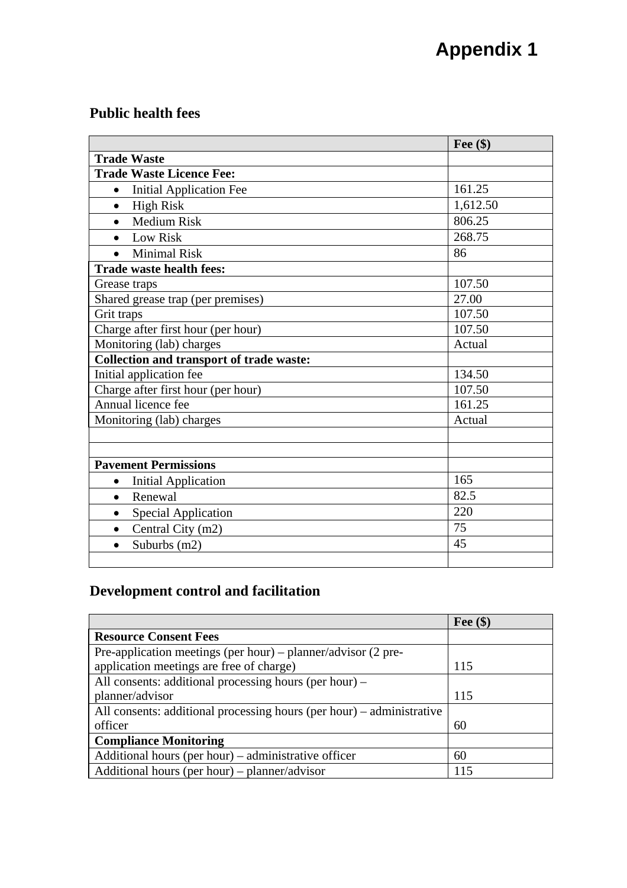#### **Public health fees**

|                                                 | Fee $(\$)$ |
|-------------------------------------------------|------------|
| <b>Trade Waste</b>                              |            |
| <b>Trade Waste Licence Fee:</b>                 |            |
| <b>Initial Application Fee</b><br>$\bullet$     | 161.25     |
| <b>High Risk</b><br>$\bullet$                   | 1,612.50   |
| <b>Medium Risk</b><br>$\bullet$                 | 806.25     |
| <b>Low Risk</b><br>$\bullet$                    | 268.75     |
| <b>Minimal Risk</b>                             | 86         |
| <b>Trade waste health fees:</b>                 |            |
| Grease traps                                    | 107.50     |
| Shared grease trap (per premises)               | 27.00      |
| Grit traps                                      | 107.50     |
| Charge after first hour (per hour)              | 107.50     |
| Monitoring (lab) charges                        | Actual     |
| <b>Collection and transport of trade waste:</b> |            |
| Initial application fee                         | 134.50     |
| Charge after first hour (per hour)              | 107.50     |
| Annual licence fee                              | 161.25     |
| Monitoring (lab) charges                        | Actual     |
|                                                 |            |
|                                                 |            |
| <b>Pavement Permissions</b>                     |            |
| <b>Initial Application</b><br>$\bullet$         | 165        |
| Renewal<br>$\bullet$                            | 82.5       |
| <b>Special Application</b><br>$\bullet$         | 220        |
| Central City (m2)<br>$\bullet$                  | 75         |
| Suburbs (m2)<br>$\bullet$                       | 45         |
|                                                 |            |

### **Development control and facilitation**

|                                                                        | Fee $(\$)$ |
|------------------------------------------------------------------------|------------|
| <b>Resource Consent Fees</b>                                           |            |
| Pre-application meetings (per hour) – planner/advisor $(2 \text{ pre}$ |            |
| application meetings are free of charge)                               | 115        |
| All consents: additional processing hours (per hour) –                 |            |
| planner/advisor                                                        | 115        |
| All consents: additional processing hours (per hour) – administrative  |            |
| officer                                                                | 60         |
| <b>Compliance Monitoring</b>                                           |            |
| Additional hours (per hour) – administrative officer                   | 60         |
| Additional hours (per hour) – planner/advisor                          | 115        |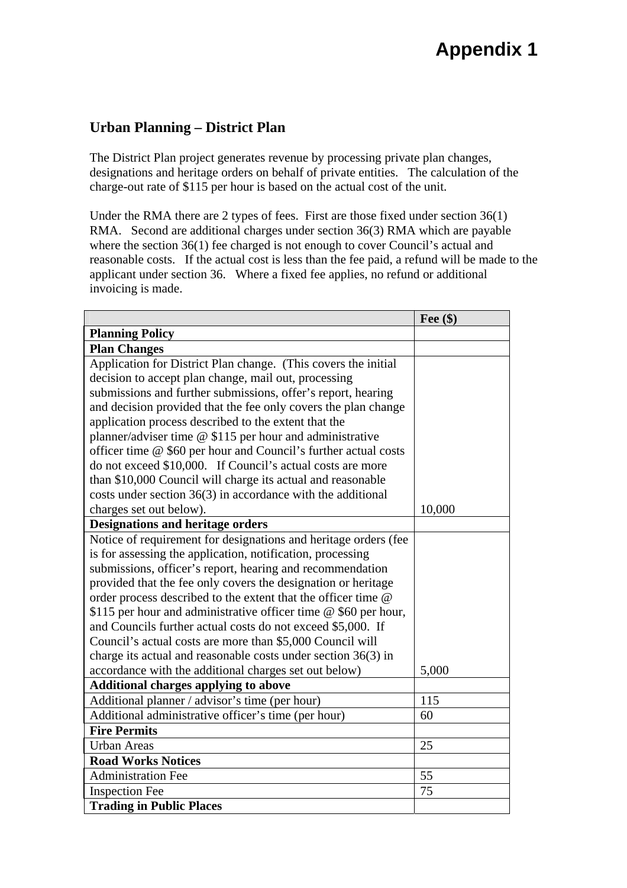#### **Urban Planning – District Plan**

The District Plan project generates revenue by processing private plan changes, designations and heritage orders on behalf of private entities. The calculation of the charge-out rate of \$115 per hour is based on the actual cost of the unit.

Under the RMA there are 2 types of fees. First are those fixed under section 36(1) RMA. Second are additional charges under section 36(3) RMA which are payable where the section 36(1) fee charged is not enough to cover Council's actual and reasonable costs. If the actual cost is less than the fee paid, a refund will be made to the applicant under section 36. Where a fixed fee applies, no refund or additional invoicing is made.

|                                                                 | Fee $(\$)$ |
|-----------------------------------------------------------------|------------|
| <b>Planning Policy</b>                                          |            |
| <b>Plan Changes</b>                                             |            |
| Application for District Plan change. (This covers the initial  |            |
| decision to accept plan change, mail out, processing            |            |
| submissions and further submissions, offer's report, hearing    |            |
| and decision provided that the fee only covers the plan change  |            |
| application process described to the extent that the            |            |
| planner/adviser time @ \$115 per hour and administrative        |            |
| officer time @ \$60 per hour and Council's further actual costs |            |
| do not exceed \$10,000. If Council's actual costs are more      |            |
| than \$10,000 Council will charge its actual and reasonable     |            |
| costs under section $36(3)$ in accordance with the additional   |            |
| charges set out below).                                         | 10,000     |
| <b>Designations and heritage orders</b>                         |            |
| Notice of requirement for designations and heritage orders (fee |            |
| is for assessing the application, notification, processing      |            |
| submissions, officer's report, hearing and recommendation       |            |
| provided that the fee only covers the designation or heritage   |            |
| order process described to the extent that the officer time @   |            |
| \$115 per hour and administrative officer time @ \$60 per hour, |            |
| and Councils further actual costs do not exceed \$5,000. If     |            |
| Council's actual costs are more than \$5,000 Council will       |            |
| charge its actual and reasonable costs under section $36(3)$ in |            |
| accordance with the additional charges set out below)           | 5,000      |
| <b>Additional charges applying to above</b>                     |            |
| Additional planner / advisor's time (per hour)                  | 115        |
| Additional administrative officer's time (per hour)             | 60         |
| <b>Fire Permits</b>                                             |            |
| <b>Urban Areas</b>                                              | 25         |
| <b>Road Works Notices</b>                                       |            |
| <b>Administration Fee</b>                                       | 55         |
| <b>Inspection Fee</b>                                           | 75         |
| <b>Trading in Public Places</b>                                 |            |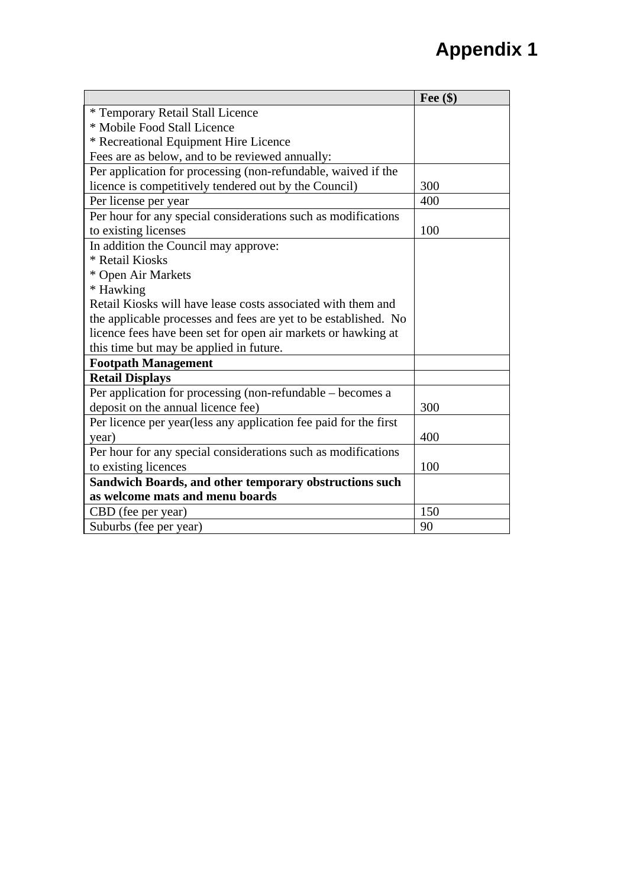|                                                                  | Fee $(\$)$ |
|------------------------------------------------------------------|------------|
| * Temporary Retail Stall Licence                                 |            |
| * Mobile Food Stall Licence                                      |            |
| * Recreational Equipment Hire Licence                            |            |
| Fees are as below, and to be reviewed annually:                  |            |
| Per application for processing (non-refundable, waived if the    |            |
| licence is competitively tendered out by the Council)            | 300        |
| Per license per year                                             | 400        |
| Per hour for any special considerations such as modifications    |            |
| to existing licenses                                             | 100        |
| In addition the Council may approve:                             |            |
| * Retail Kiosks                                                  |            |
| * Open Air Markets                                               |            |
| * Hawking                                                        |            |
| Retail Kiosks will have lease costs associated with them and     |            |
| the applicable processes and fees are yet to be established. No  |            |
| licence fees have been set for open air markets or hawking at    |            |
| this time but may be applied in future.                          |            |
| <b>Footpath Management</b>                                       |            |
| <b>Retail Displays</b>                                           |            |
| Per application for processing (non-refundable – becomes a       |            |
| deposit on the annual licence fee)                               | 300        |
| Per licence per year(less any application fee paid for the first |            |
| year)                                                            | 400        |
| Per hour for any special considerations such as modifications    |            |
| to existing licences                                             | 100        |
| Sandwich Boards, and other temporary obstructions such           |            |
| as welcome mats and menu boards                                  |            |
| CBD (fee per year)                                               | 150        |
| Suburbs (fee per year)                                           | 90         |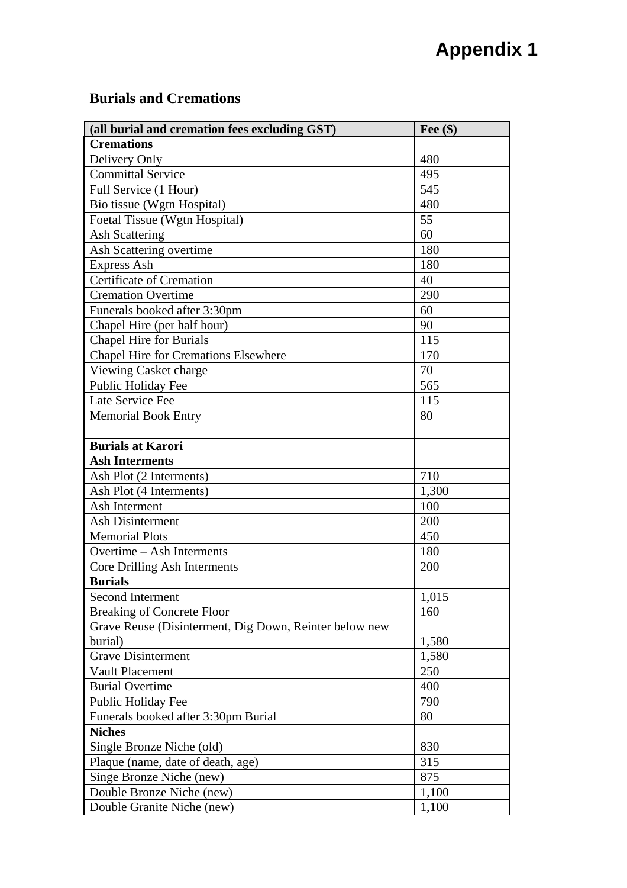#### **Burials and Cremations**

| (all burial and cremation fees excluding GST)          | Fee $(\$)$ |
|--------------------------------------------------------|------------|
| <b>Cremations</b>                                      |            |
| Delivery Only                                          | 480        |
| <b>Committal Service</b>                               | 495        |
| Full Service (1 Hour)                                  | 545        |
| Bio tissue (Wgtn Hospital)                             | 480        |
| Foetal Tissue (Wgtn Hospital)                          | 55         |
| <b>Ash Scattering</b>                                  | 60         |
| Ash Scattering overtime                                | 180        |
| <b>Express Ash</b>                                     | 180        |
| <b>Certificate of Cremation</b>                        | 40         |
| <b>Cremation Overtime</b>                              | 290        |
| Funerals booked after 3:30pm                           | 60         |
| Chapel Hire (per half hour)                            | 90         |
| <b>Chapel Hire for Burials</b>                         | 115        |
| <b>Chapel Hire for Cremations Elsewhere</b>            | 170        |
| Viewing Casket charge                                  | 70         |
| Public Holiday Fee                                     | 565        |
| Late Service Fee                                       | 115        |
| <b>Memorial Book Entry</b>                             | 80         |
|                                                        |            |
| <b>Burials at Karori</b>                               |            |
| <b>Ash Interments</b>                                  |            |
| Ash Plot (2 Interments)                                | 710        |
| Ash Plot (4 Interments)                                | 1,300      |
| Ash Interment                                          | 100        |
| <b>Ash Disinterment</b>                                | 200        |
| <b>Memorial Plots</b>                                  | 450        |
| Overtime – Ash Interments                              | 180        |
| Core Drilling Ash Interments                           | 200        |
| <b>Burials</b>                                         |            |
| Second Interment                                       | 1,015      |
| <b>Breaking of Concrete Floor</b>                      | 160        |
| Grave Reuse (Disinterment, Dig Down, Reinter below new |            |
| burial)                                                | 1,580      |
| <b>Grave Disinterment</b>                              | 1,580      |
| Vault Placement                                        | 250        |
| <b>Burial Overtime</b>                                 | 400        |
| Public Holiday Fee                                     | 790        |
| Funerals booked after 3:30pm Burial                    | 80         |
| <b>Niches</b>                                          |            |
| Single Bronze Niche (old)                              | 830        |
| Plaque (name, date of death, age)                      | 315        |
| Singe Bronze Niche (new)                               | 875        |
| Double Bronze Niche (new)                              | 1,100      |
| Double Granite Niche (new)                             | 1,100      |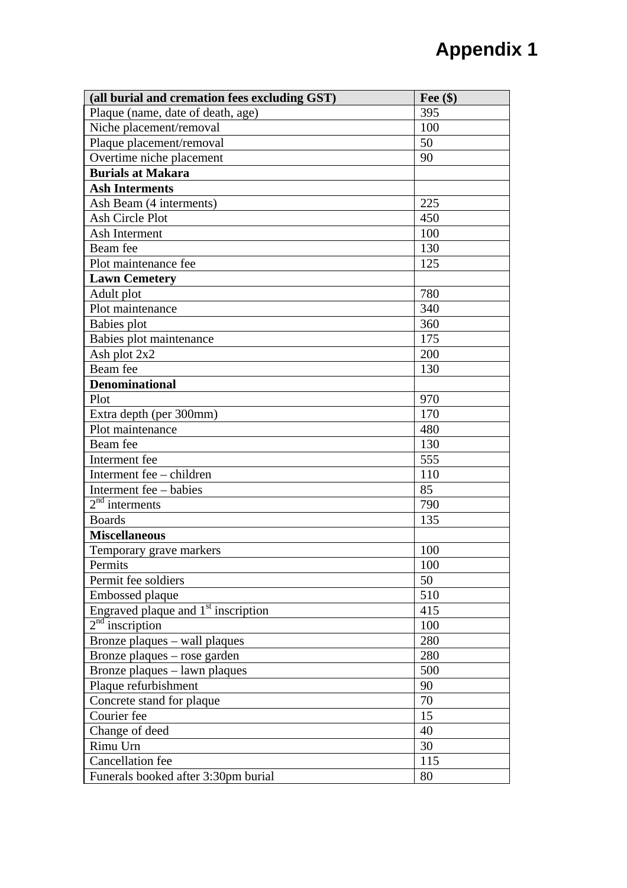| (all burial and cremation fees excluding GST) | Fee $(\$)$ |
|-----------------------------------------------|------------|
| Plaque (name, date of death, age)             | 395        |
| Niche placement/removal                       | 100        |
| Plaque placement/removal                      | 50         |
| Overtime niche placement                      | 90         |
| <b>Burials at Makara</b>                      |            |
| <b>Ash Interments</b>                         |            |
| Ash Beam (4 interments)                       | 225        |
| Ash Circle Plot                               | 450        |
| Ash Interment                                 | 100        |
| Beam fee                                      | 130        |
| Plot maintenance fee                          | 125        |
| <b>Lawn Cemetery</b>                          |            |
| Adult plot                                    | 780        |
| Plot maintenance                              | 340        |
| Babies plot                                   | 360        |
| Babies plot maintenance                       | 175        |
| Ash plot 2x2                                  | 200        |
| Beam fee                                      | 130        |
| <b>Denominational</b>                         |            |
| Plot                                          | 970        |
| Extra depth (per 300mm)                       | 170        |
| Plot maintenance                              | 480        |
| Beam fee                                      | 130        |
| Interment fee                                 | 555        |
| Interment fee - children                      | 110        |
| Interment fee – babies                        | 85         |
| $2nd$ interments                              | 790        |
| <b>Boards</b>                                 | 135        |
| <b>Miscellaneous</b>                          |            |
| Temporary grave markers                       | 100        |
| Permits                                       | 100        |
| Permit fee soldiers                           | 50         |
| Embossed plaque                               | 510        |
| Engraved plaque and $1st$ inscription         | 415        |
| $2nd$ inscription                             | 100        |
| Bronze plaques – wall plaques                 | 280        |
| Bronze plaques – rose garden                  | 280        |
| Bronze plaques - lawn plaques                 | 500        |
| Plaque refurbishment                          | 90         |
| Concrete stand for plaque                     | 70         |
| Courier fee                                   | 15         |
| Change of deed                                | 40         |
| Rimu Urn                                      | 30         |
| <b>Cancellation</b> fee                       | 115        |
| Funerals booked after 3:30pm burial           | 80         |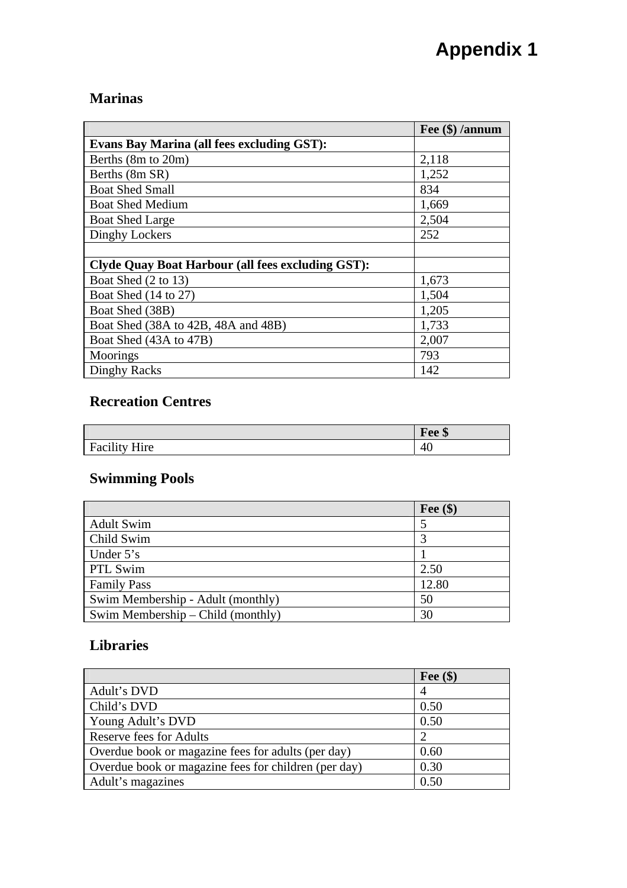#### **Marinas**

|                                                          | Fee (\$) /annum |
|----------------------------------------------------------|-----------------|
| <b>Evans Bay Marina (all fees excluding GST):</b>        |                 |
| Berths (8m to 20m)                                       | 2,118           |
| Berths (8m SR)                                           | 1,252           |
| <b>Boat Shed Small</b>                                   | 834             |
| <b>Boat Shed Medium</b>                                  | 1,669           |
| <b>Boat Shed Large</b>                                   | 2,504           |
| Dinghy Lockers                                           | 252             |
|                                                          |                 |
| <b>Clyde Quay Boat Harbour (all fees excluding GST):</b> |                 |
| Boat Shed (2 to 13)                                      | 1,673           |
| Boat Shed (14 to 27)                                     | 1,504           |
| Boat Shed (38B)                                          | 1,205           |
| Boat Shed (38A to 42B, 48A and 48B)                      | 1,733           |
| Boat Shed (43A to 47B)                                   | 2,007           |
| Moorings                                                 | 793             |
| Dinghy Racks                                             | 142             |

### **Recreation Centres**

|                                                      | Fee \$                 |
|------------------------------------------------------|------------------------|
| $\cdots$<br>$\mathbf{v}$<br>Facility<br>$\mathbf{H}$ | $\epsilon$<br>4<br>. . |

### **Swimming Pools**

|                                     | Fee $(\$)$ |
|-------------------------------------|------------|
| <b>Adult Swim</b>                   |            |
| Child Swim                          |            |
| Under $5's$                         |            |
| PTL Swim                            | 2.50       |
| <b>Family Pass</b>                  | 12.80      |
| Swim Membership - Adult (monthly)   | 50         |
| Swim Membership $-$ Child (monthly) | 30         |

## **Libraries**

|                                                      | Fee $(\$)$ |
|------------------------------------------------------|------------|
| Adult's DVD                                          |            |
| Child's DVD                                          | 0.50       |
| Young Adult's DVD                                    | 0.50       |
| <b>Reserve fees for Adults</b>                       |            |
| Overdue book or magazine fees for adults (per day)   | 0.60       |
| Overdue book or magazine fees for children (per day) | 0.30       |
| Adult's magazines                                    | 0.50       |